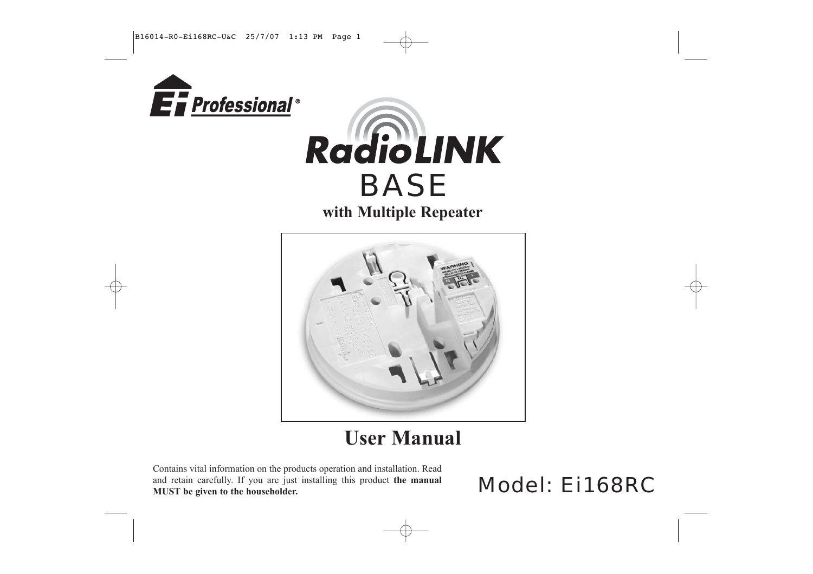



**with Multiple Repeater**



**User Manual**

Contains vital information on the products operation and installation. Read and retain carefully. If you are just installing this product **the manual MUST be given to the householder.**

# Model: Ei168RC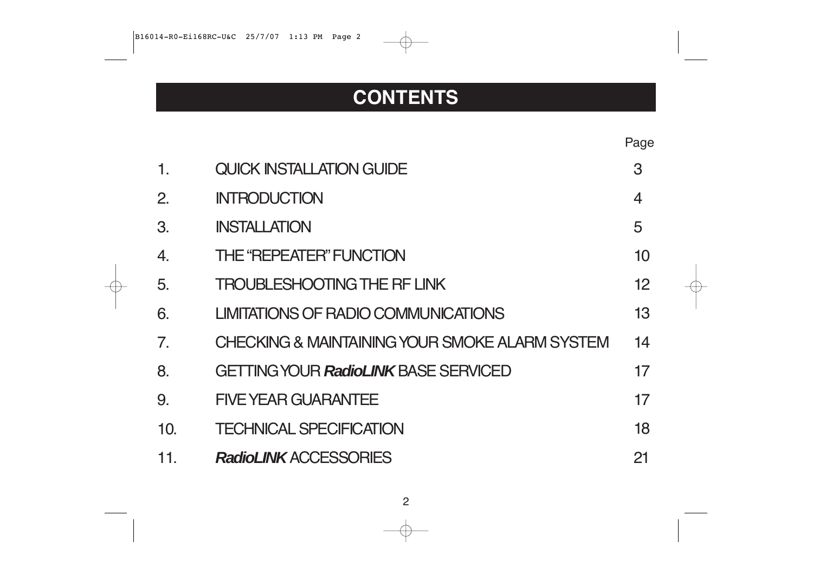# **CONTENTS**

↔

|                |                                                | Page           |
|----------------|------------------------------------------------|----------------|
| 1.             | QUICK INSTALLATION GUIDE                       | 3              |
| $\overline{2}$ | <b>INTRODUCTION</b>                            | $\overline{4}$ |
| 3.             | <b>INSTALLATION</b>                            | 5              |
| 4.             | THE "REPEATER" FUNCTION                        | 10             |
| 5.             | <b>TROUBLESHOOTING THE RF LINK</b>             | 12             |
| 6.             | <b>LIMITATIONS OF RADIO COMMUNICATIONS</b>     | 13             |
| 7 <sub>1</sub> | CHECKING & MAINTAINING YOUR SMOKE ALARM SYSTEM | 14             |
| 8.             | GETTING YOUR RadioLINK BASE SERVICED           | 17             |
| 9.             | <b>FIVE YEAR GUARANTEE</b>                     | 17             |
| 10.            | <b>TECHNICAL SPECIFICATION</b>                 | 18             |
| 11.            | <b>RadioLINK ACCESSORIES</b>                   | 21             |

2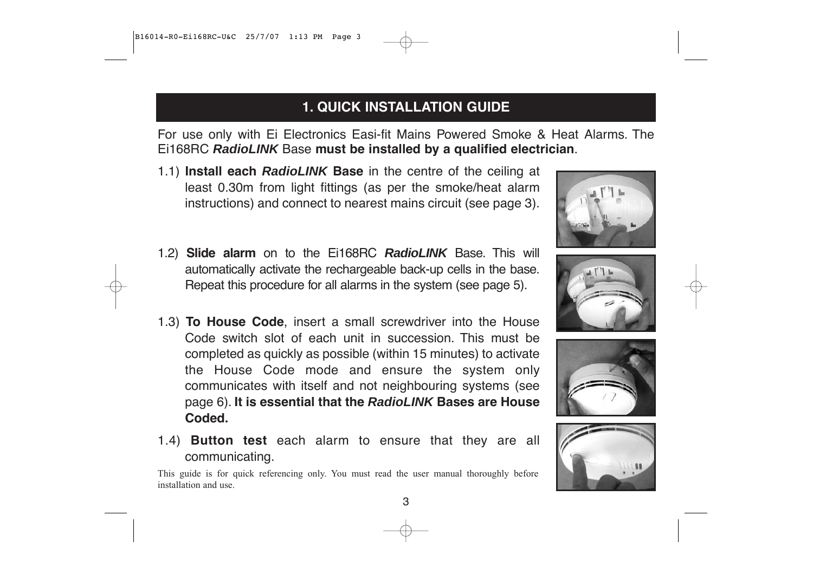# **1. QUICK INSTALLATION GUIDE**

For use only with Ei Electronics Easi-fit Mains Powered Smoke & Heat Alarms. The Ei168RC *RadioLINK* Base **must be installed by a qualified electrician**.

- 1.1) **Install each** *RadioLINK* **Base** in the centre of the ceiling at least 0.30m from light fittings (as per the smoke/heat alarm instructions) and connect to nearest mains circuit (see page 3).
- 1.2) **Slide alarm** on to the Ei168RC *RadioLINK* Base. This will automatically activate the rechargeable back-up cells in the base. Repeat this procedure for all alarms in the system (see page 5).
- 1.3) **To House Code**, insert a small screwdriver into the House Code switch slot of each unit in succession. This must be completed as quickly as possible (within 15 minutes) to activate the House Code mode and ensure the system only communicates with itself and not neighbouring systems (see page 6). **It is essential that the** *RadioLINK* **Bases are House Coded.**
- 1.4) **Button test** each alarm to ensure that they are all communicating.

This guide is for quick referencing only. You must read the user manual thoroughly before installation and use.

3







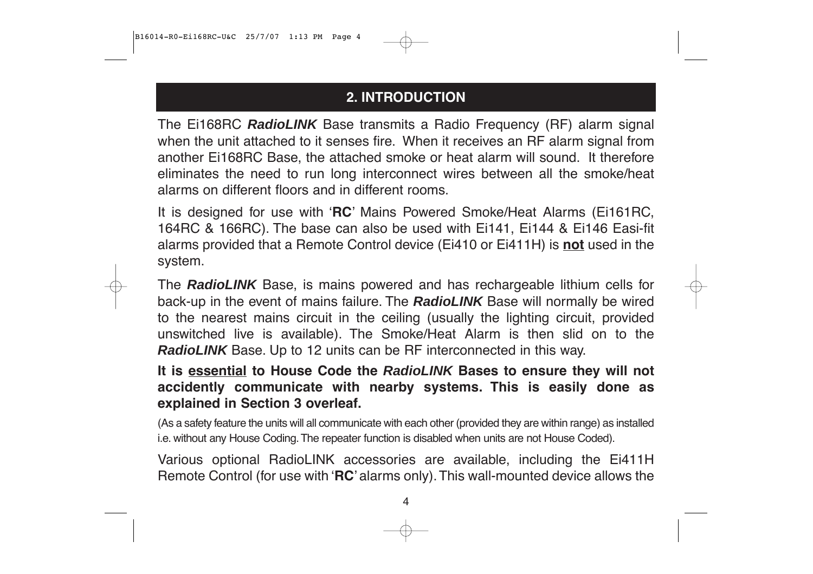# **2. INTRODUCTION**

The Ei168RC *RadioLINK* Base transmits a Radio Frequency (RF) alarm signal when the unit attached to it senses fire. When it receives an RF alarm signal from another Ei168RC Base, the attached smoke or heat alarm will sound. It therefore eliminates the need to run long interconnect wires between all the smoke/heat alarms on different floors and in different rooms.

It is designed for use with '**RC**' Mains Powered Smoke/Heat Alarms (Ei161RC, 164RC & 166RC). The base can also be used with Ei141, Ei144 & Ei146 Easi-fit alarms provided that a Remote Control device (Ei410 or Ei411H) is **not** used in the system.

The *RadioLINK* Base, is mains powered and has rechargeable lithium cells for back-up in the event of mains failure. The *RadioLINK* Base will normally be wired to the nearest mains circuit in the ceiling (usually the lighting circuit, provided unswitched live is available). The Smoke/Heat Alarm is then slid on to the *RadioLINK* Base. Up to 12 units can be RF interconnected in this way.

**It is essential to House Code the** *RadioLINK* **Bases to ensure they will not accidently communicate with nearby systems. This is easily done as explained in Section 3 overleaf.**

(As a safety feature the units will all communicate with each other (provided they are within range) as installed i.e. without any House Coding. The repeater function is disabled when units are not House Coded).

Various optional RadioLINK accessories are available, including the Ei411H Remote Control (for use with '**RC**' alarms only).This wall-mounted device allows the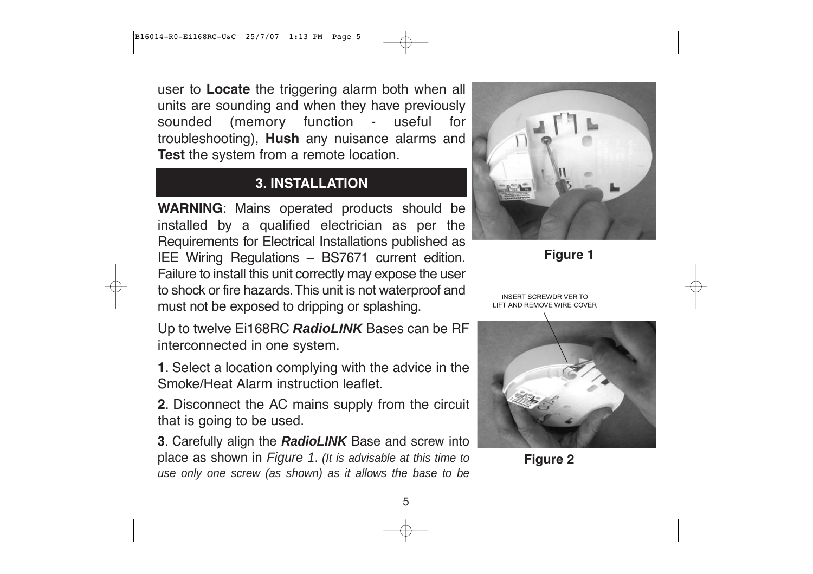user to **Locate** the triggering alarm both when all units are sounding and when they have previously sounded (memory function - useful for troubleshooting), **Hush** any nuisance alarms and **Test** the system from a remote location.

# **3. INSTALLATION**

**WARNING**: Mains operated products should be installed by a qualified electrician as per the Requirements for Electrical Installations published as IEE Wiring Regulations – BS7671 current edition. Failure to install this unit correctly may expose the user to shock or fire hazards.This unit is not waterproof and must not be exposed to dripping or splashing.

Up to twelve Ei168RC *RadioLINK* Bases can be RF interconnected in one system.

**1**. Select a location complying with the advice in the Smoke/Heat Alarm instruction leaflet.

**2**. Disconnect the AC mains supply from the circuit that is going to be used.

**3**. Carefully align the *RadioLINK* Base and screw into place as shown in *Figure 1*. *(It is advisable at this time to use only one screw (as shown) as it allows the base to be*



**Figure 1**

**INSERT SCREWDRIVER TO** LIFT AND REMOVE WIRE COVER



**Figure 2**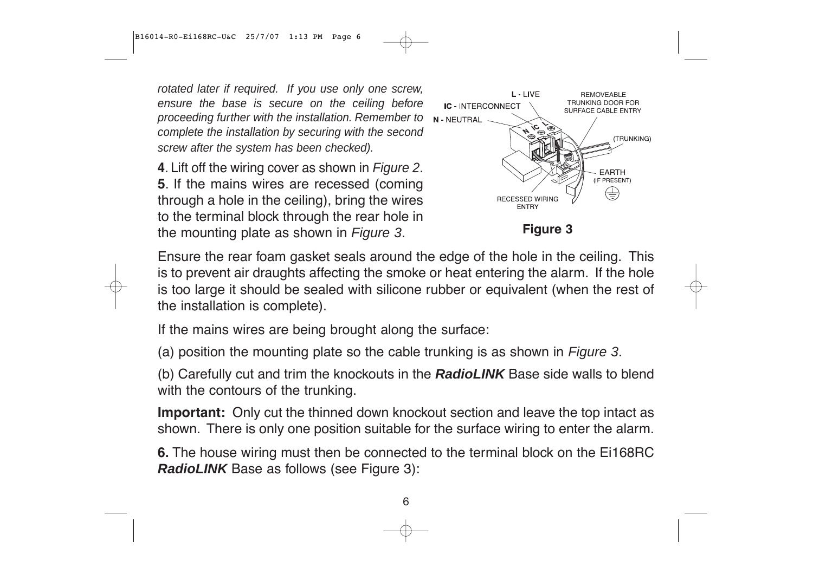*rotated later if required. If you use only one screw, ensure the base is secure on the ceiling before proceeding further with the installation. Remember to complete the installation by securing with the second screw after the system has been checked).*

**4**. Lift off the wiring cover as shown in *Figure 2*. **5**. If the mains wires are recessed (coming through a hole in the ceiling), bring the wires to the terminal block through the rear hole in the mounting plate as shown in *Figure 3*.





Ensure the rear foam gasket seals around the edge of the hole in the ceiling. This is to prevent air draughts affecting the smoke or heat entering the alarm. If the hole is too large it should be sealed with silicone rubber or equivalent (when the rest of the installation is complete).

If the mains wires are being brought along the surface:

(a) position the mounting plate so the cable trunking is as shown in *Figure 3*.

(b) Carefully cut and trim the knockouts in the *RadioLINK* Base side walls to blend with the contours of the trunking.

**Important:** Only cut the thinned down knockout section and leave the top intact as shown. There is only one position suitable for the surface wiring to enter the alarm.

**6.** The house wiring must then be connected to the terminal block on the Ei168RC *RadioLINK* Base as follows (see Figure 3):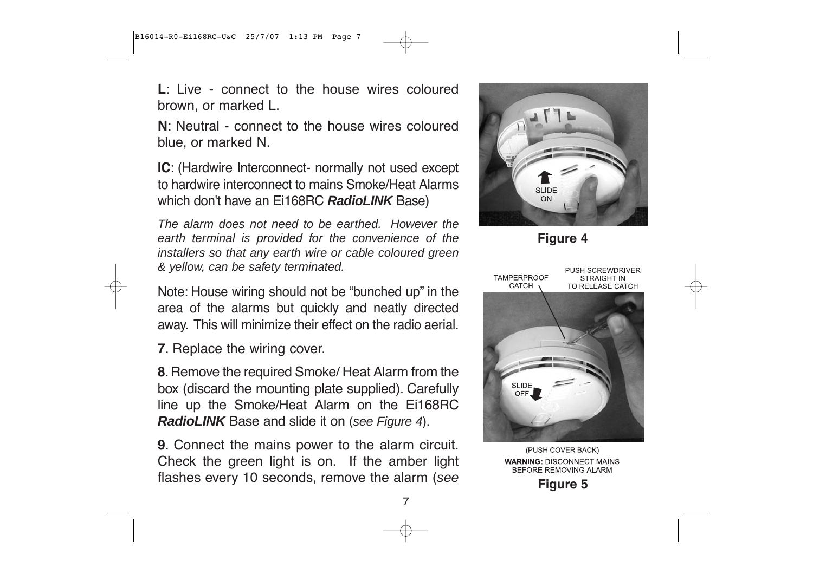**L**: Live - connect to the house wires coloured brown, or marked L.

**N**: Neutral - connect to the house wires coloured blue, or marked N.

**IC**: (Hardwire Interconnect- normally not used except to hardwire interconnect to mains Smoke/Heat Alarms which don't have an Ei168RC *RadioLINK* Base)

*The alarm does not need to be earthed. However the earth terminal is provided for the convenience of the installers so that any earth wire or cable coloured green & yellow, can be safety terminated.*

Note: House wiring should not be "bunched up" in the area of the alarms but quickly and neatly directed away. This will minimize their effect on the radio aerial.

**7**. Replace the wiring cover.

**8**. Remove the required Smoke/ Heat Alarm from the box (discard the mounting plate supplied). Carefully line up the Smoke/Heat Alarm on the Ei168RC *RadioLINK* Base and slide it on (*see Figure 4*).

**9**. Connect the mains power to the alarm circuit. Check the green light is on. If the amber light flashes every 10 seconds, remove the alarm (*see*

7



**Figure 4**



(PUSH COVER BACK) **WARNING: DISCONNECT MAINS** BEFORE REMOVING ALARM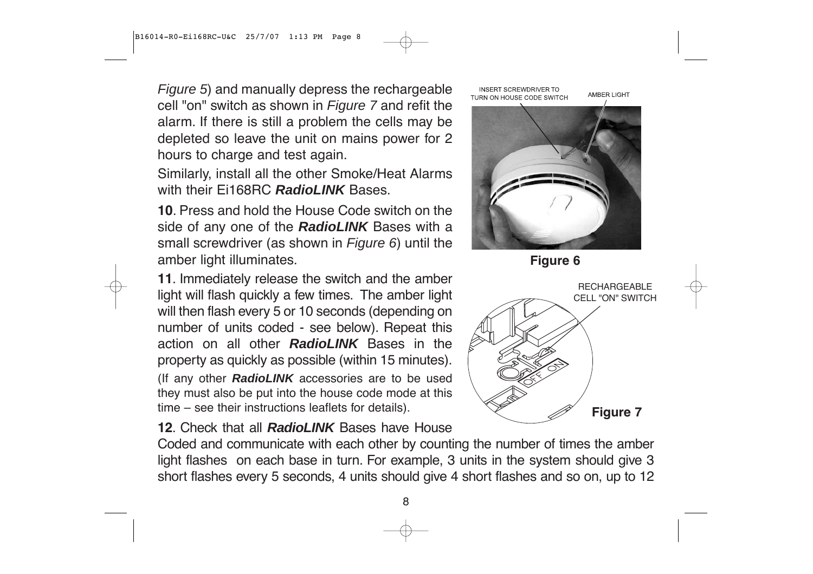*Figure 5*) and manually depress the rechargeable cell "on" switch as shown in *Figure 7* and refit the alarm. If there is still a problem the cells may be depleted so leave the unit on mains power for 2 hours to charge and test again.

Similarly, install all the other Smoke/Heat Alarms with their Ei168RC *RadioLINK* Bases.

**10**. Press and hold the House Code switch on the side of any one of the *RadioLINK* Bases with a small screwdriver (as shown in *Figure 6*) until the amber light illuminates.

**11**. Immediately release the switch and the amber light will flash quickly a few times. The amber light will then flash every 5 or 10 seconds (depending on number of units coded - see below). Repeat this action on all other *RadioLINK* Bases in the property as quickly as possible (within 15 minutes). (If any other *RadioLINK* accessories are to be used they must also be put into the house code mode at this time – see their instructions leaflets for details).

#### **12**. Check that all *RadioLINK* Bases have House

**INSERT SCREWDRIVER TO** 

TURN ON HOUSE CODE SWITCH



AMBER LIGHT



Coded and communicate with each other by counting the number of times the amber light flashes on each base in turn. For example, 3 units in the system should give 3 short flashes every 5 seconds, 4 units should give 4 short flashes and so on, up to 12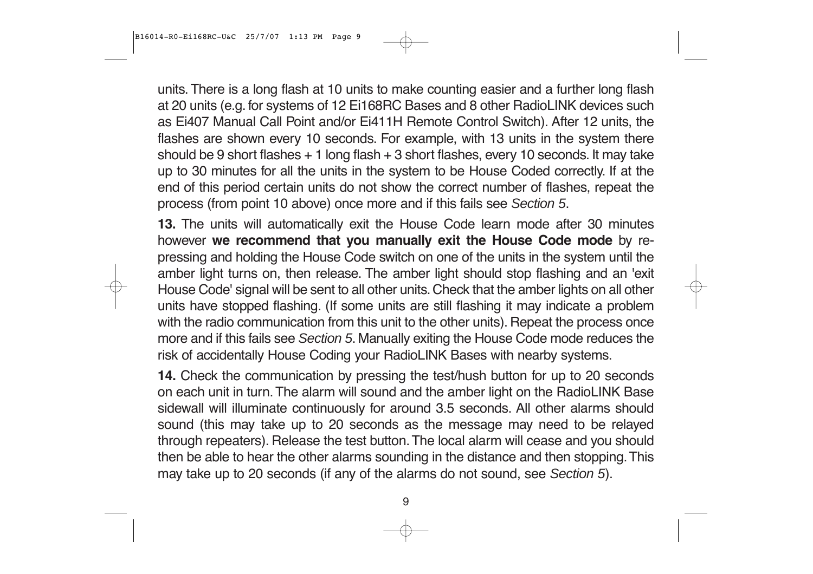units. There is a long flash at 10 units to make counting easier and a further long flash at 20 units (e.g. for systems of 12 Ei168RC Bases and 8 other RadioLINK devices such as Ei407 Manual Call Point and/or Ei411H Remote Control Switch). After 12 units, the flashes are shown every 10 seconds. For example, with 13 units in the system there should be 9 short flashes + 1 long flash + 3 short flashes, every 10 seconds. It may take up to 30 minutes for all the units in the system to be House Coded correctly. If at the end of this period certain units do not show the correct number of flashes, repeat the process (from point 10 above) once more and if this fails see *Section 5*.

**13.** The units will automatically exit the House Code learn mode after 30 minutes however **we recommend that you manually exit the House Code mode** by repressing and holding the House Code switch on one of the units in the system until the amber light turns on, then release. The amber light should stop flashing and an 'exit House Code' signal will be sent to all other units. Check that the amber lights on all other units have stopped flashing. (If some units are still flashing it may indicate a problem with the radio communication from this unit to the other units). Repeat the process once more and if this fails see *Section 5*. Manually exiting the House Code mode reduces the risk of accidentally House Coding your RadioLINK Bases with nearby systems.

**14.** Check the communication by pressing the test/hush button for up to 20 seconds on each unit in turn. The alarm will sound and the amber light on the RadioLINK Base sidewall will illuminate continuously for around 3.5 seconds. All other alarms should sound (this may take up to 20 seconds as the message may need to be relayed through repeaters). Release the test button.The local alarm will cease and you should then be able to hear the other alarms sounding in the distance and then stopping.This may take up to 20 seconds (if any of the alarms do not sound, see *Section 5*).

9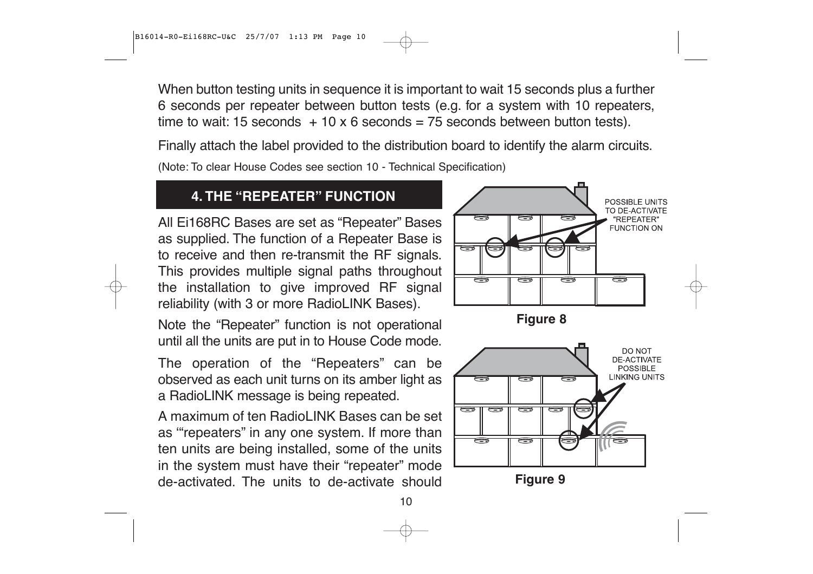When button testing units in sequence it is important to wait 15 seconds plus a further 6 seconds per repeater between button tests (e.g. for a system with 10 repeaters, time to wait: 15 seconds  $+ 10 \times 6$  seconds = 75 seconds between button tests).

Finally attach the label provided to the distribution board to identify the alarm circuits.

(Note: To clear House Codes see section 10 - Technical Specification)

# **4. THE "REPEATER" FUNCTION**

All Ei168RC Bases are set as "Repeater" Bases as supplied. The function of a Repeater Base is to receive and then re-transmit the RF signals. This provides multiple signal paths throughout the installation to give improved RF signal reliability (with 3 or more RadioLINK Bases).

Note the "Repeater" function is not operational until all the units are put in to House Code mode.

The operation of the "Repeaters" can be observed as each unit turns on its amber light as a RadioLINK message is being repeated.

A maximum of ten RadioLINK Bases can be set as '"repeaters" in any one system. If more than ten units are being installed, some of the units in the system must have their "repeater" mode de-activated. The units to de-activate should







**Figure 9**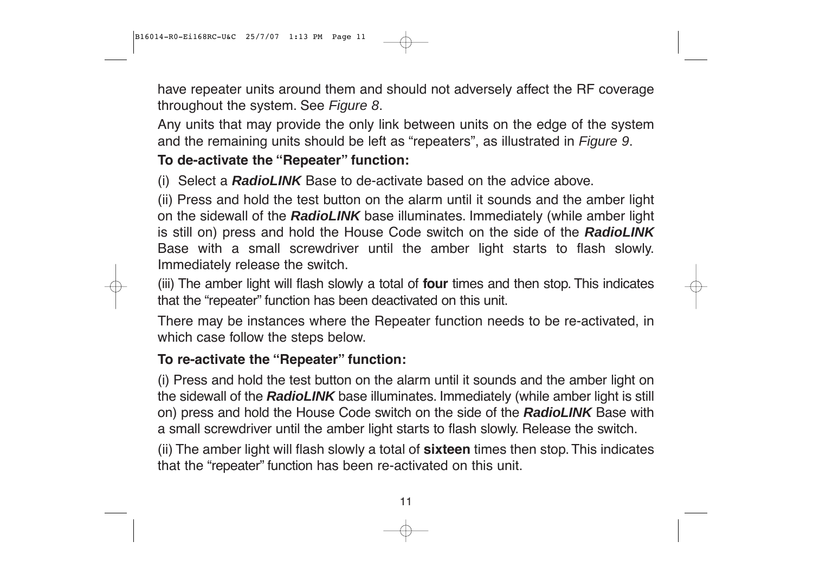have repeater units around them and should not adversely affect the RF coverage throughout the system. See *Figure 8*.

Any units that may provide the only link between units on the edge of the system and the remaining units should be left as "repeaters", as illustrated in *Figure 9*.

#### **To de-activate the "Repeater" function:**

(i) Select a *RadioLINK* Base to de-activate based on the advice above.

(ii) Press and hold the test button on the alarm until it sounds and the amber light on the sidewall of the *RadioLINK* base illuminates. Immediately (while amber light is still on) press and hold the House Code switch on the side of the *RadioLINK* Base with a small screwdriver until the amber light starts to flash slowly. Immediately release the switch.

(iii) The amber light will flash slowly a total of **four** times and then stop. This indicates that the "repeater" function has been deactivated on this unit.

There may be instances where the Repeater function needs to be re-activated, in which case follow the steps below.

## **To re-activate the "Repeater" function:**

(i) Press and hold the test button on the alarm until it sounds and the amber light on the sidewall of the *RadioLINK* base illuminates. Immediately (while amber light is still on) press and hold the House Code switch on the side of the *RadioLINK* Base with a small screwdriver until the amber light starts to flash slowly. Release the switch.

(ii) The amber light will flash slowly a total of **sixteen** times then stop. This indicates that the "repeater" function has been re-activated on this unit.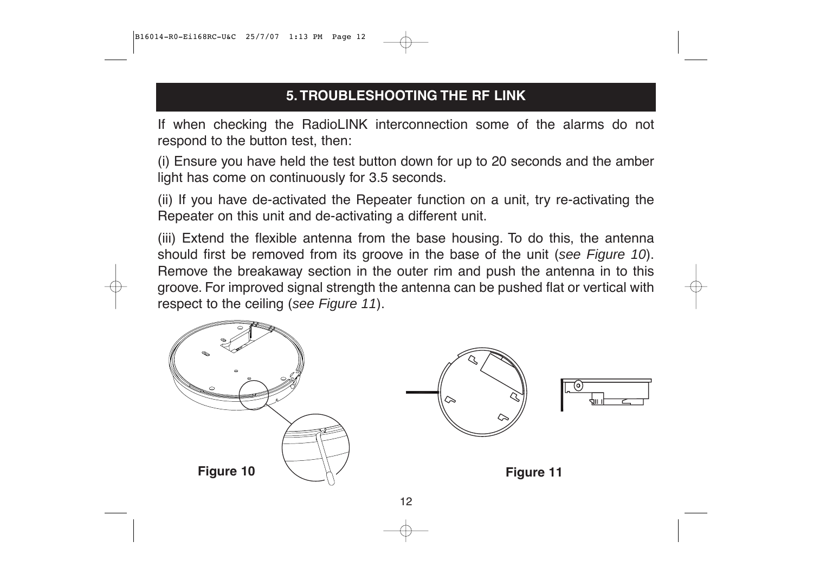# **5. TROUBLESHOOTING THE RF LINK**

If when checking the RadioLINK interconnection some of the alarms do not respond to the button test, then:

(i) Ensure you have held the test button down for up to 20 seconds and the amber light has come on continuously for 3.5 seconds.

(ii) If you have de-activated the Repeater function on a unit, try re-activating the Repeater on this unit and de-activating a different unit.

(iii) Extend the flexible antenna from the base housing. To do this, the antenna should first be removed from its groove in the base of the unit (*see Figure 10*). Remove the breakaway section in the outer rim and push the antenna in to this groove. For improved signal strength the antenna can be pushed flat or vertical with respect to the ceiling (*see Figure 11*).

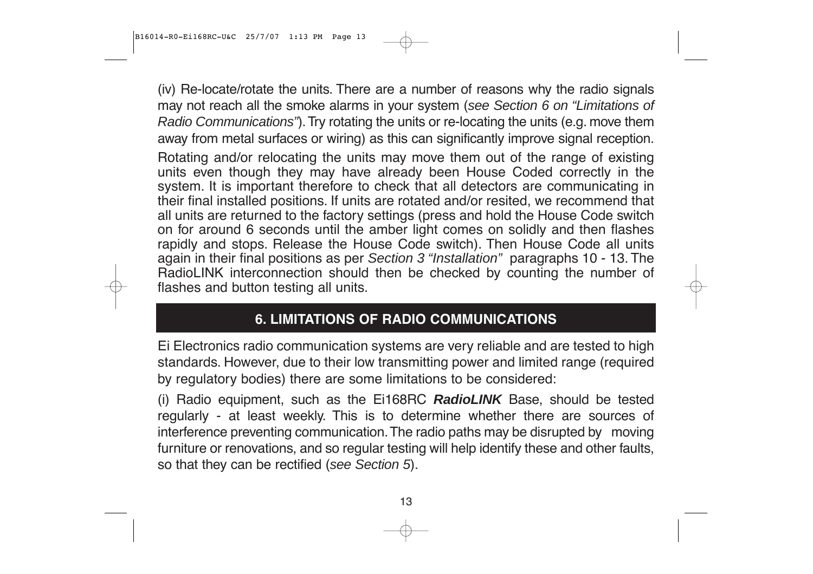(iv) Re-locate/rotate the units. There are a number of reasons why the radio signals may not reach all the smoke alarms in your system (*see Section 6 on "Limitations of Radio Communications*"). Try rotating the units or re-locating the units (e.g. move them away from metal surfaces or wiring) as this can significantly improve signal reception.

Rotating and/or relocating the units may move them out of the range of existing units even though they may have already been House Coded correctly in the system. It is important therefore to check that all detectors are communicating in their final installed positions. If units are rotated and/or resited, we recommend that all units are returned to the factory settings (press and hold the House Code switch on for around 6 seconds until the amber light comes on solidly and then flashes rapidly and stops. Release the House Code switch). Then House Code all units again in their final positions as per *Section 3 "Installation"* paragraphs 10 - 13. The RadioLINK interconnection should then be checked by counting the number of flashes and button testing all units.

## **6. LIMITATIONS OF RADIO COMMUNICATIONS**

Ei Electronics radio communication systems are very reliable and are tested to high standards. However, due to their low transmitting power and limited range (required by regulatory bodies) there are some limitations to be considered:

(i) Radio equipment, such as the Ei168RC *RadioLINK* Base, should be tested regularly - at least weekly. This is to determine whether there are sources of interference preventing communication. The radio paths may be disrupted by moving furniture or renovations, and so regular testing will help identify these and other faults, so that they can be rectified (*see Section 5*).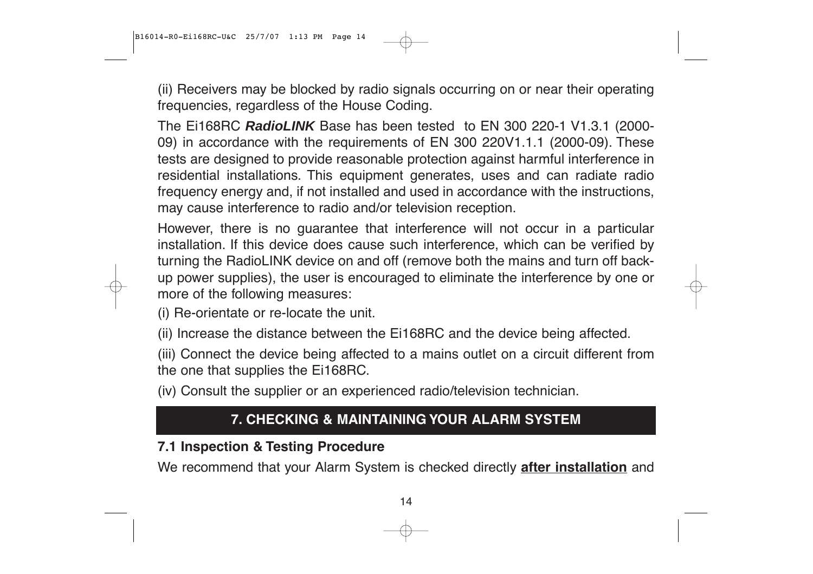(ii) Receivers may be blocked by radio signals occurring on or near their operating frequencies, regardless of the House Coding.

The Ei168RC *RadioLINK* Base has been tested to EN 300 220-1 V1.3.1 (2000- 09) in accordance with the requirements of EN 300 220V1.1.1 (2000-09). These tests are designed to provide reasonable protection against harmful interference in residential installations. This equipment generates, uses and can radiate radio frequency energy and, if not installed and used in accordance with the instructions, may cause interference to radio and/or television reception.

However, there is no guarantee that interference will not occur in a particular installation. If this device does cause such interference, which can be verified by turning the RadioLINK device on and off (remove both the mains and turn off backup power supplies), the user is encouraged to eliminate the interference by one or more of the following measures:

(i) Re-orientate or re-locate the unit.

(ii) Increase the distance between the Ei168RC and the device being affected.

(iii) Connect the device being affected to a mains outlet on a circuit different from the one that supplies the Ei168RC.

(iv) Consult the supplier or an experienced radio/television technician.

## **7. CHECKING & MAINTAINING YOUR ALARM SYSTEM**

#### **7.1 Inspection & Testing Procedure**

We recommend that your Alarm System is checked directly **after installation** and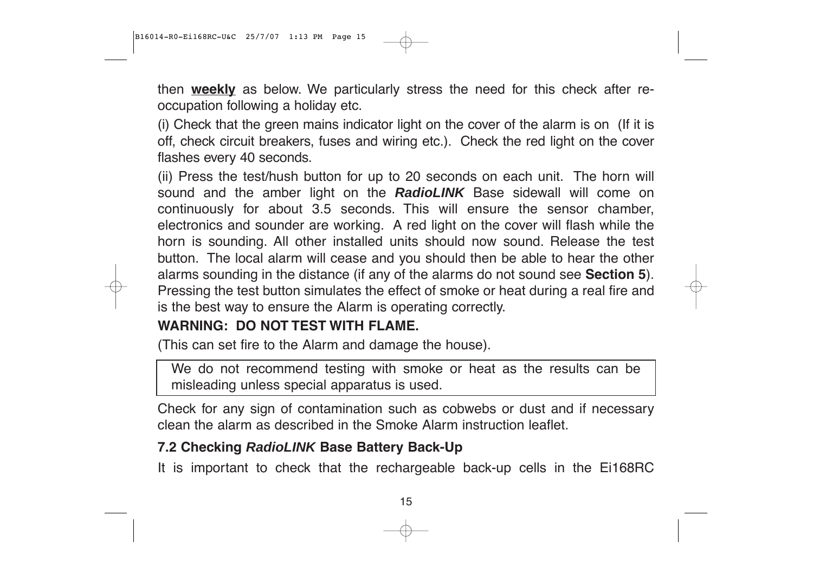then **weekl y** as below. We particularly stress the need for this check after reoccupation following a holiday etc.

(i) Check that the green mains indicator light on the cover of the alarm is on (If it is off, check circuit breakers, fuses and wiring etc.). Check the red light on the cover flashes every 40 seconds.

(ii) Press the test/hush button for up to 20 seconds on each unit. The horn will sound and the amber light on the *RadioLINK* Base sidewall will come on continuously for about 3.5 seconds. This will ensure the sensor chamber, electronics and sounder are working. A red light on the cover will flash while the horn is sounding. All other installed units should now sound. Release the test button. The local alarm will cease and you should then be able to hear the other alarms sounding in the distance (if any of the alarms do not sound see **Section 5**). Pressing the test button simulates the effect of smoke or heat during a real fire and is the best way to ensure the Alarm is operating correctly.

## **WARNING: DO NOT TEST WITH FLAME.**

(This can set fire to the Alarm and damage the house).

We do not recommend testing with smoke or heat as the results can be misleading unless special apparatus is used.

Check for any sign of contamination such as cobwebs or dust and if necessary clean the alarm as described in the Smoke Alarm instruction leaflet.

## **7.2 Checking** *RadioLINK* **Base Battery Back-Up**

It is important to check that the rechargeable back-up cells in the Ei168RC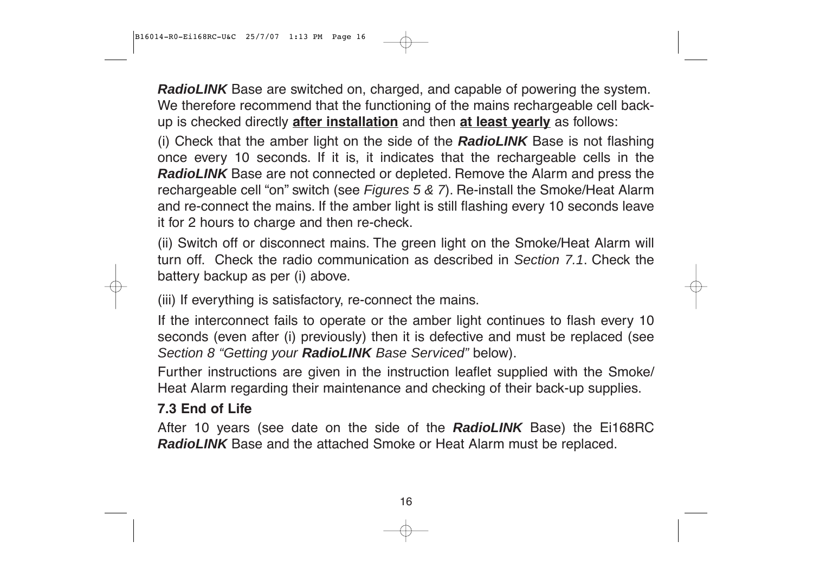*RadioLINK* Base are switched on, charged, and capable of powering the system. We therefore recommend that the functioning of the mains rechargeable cell backup is checked directly **after installation** and then **at least yearl y** as follows:

(i) Check that the amber light on the side of the *RadioLINK* Base is not flashing once every 10 seconds. If it is, it indicates that the rechargeable cells in the *RadioLINK* Base are not connected or depleted. Remove the Alarm and press the rechargeable cell "on" switch (see *Figures 5 & 7*). Re-install the Smoke/Heat Alarm and re-connect the mains. If the amber light is still flashing every 10 seconds leave it for 2 hours to charge and then re-check.

(ii) Switch off or disconnect mains. The green light on the Smoke/Heat Alarm will turn off. Check the radio communication as described in *Section 7.1*. Check the battery backup as per (i) above.

(iii) If everything is satisfactory, re-connect the mains.

If the interconnect fails to operate or the amber light continues to flash every 10 seconds (even after (i) previously) then it is defective and must be replaced (see *Section 8 "Getting your RadioLINK Base Serviced"* below).

Further instructions are given in the instruction leaflet supplied with the Smoke/ Heat Alarm regarding their maintenance and checking of their back-up supplies.

## **7.3 End of Life**

After 10 years (see date on the side of the *RadioLINK* Base) the Ei168RC *RadioLINK* Base and the attached Smoke or Heat Alarm must be replaced.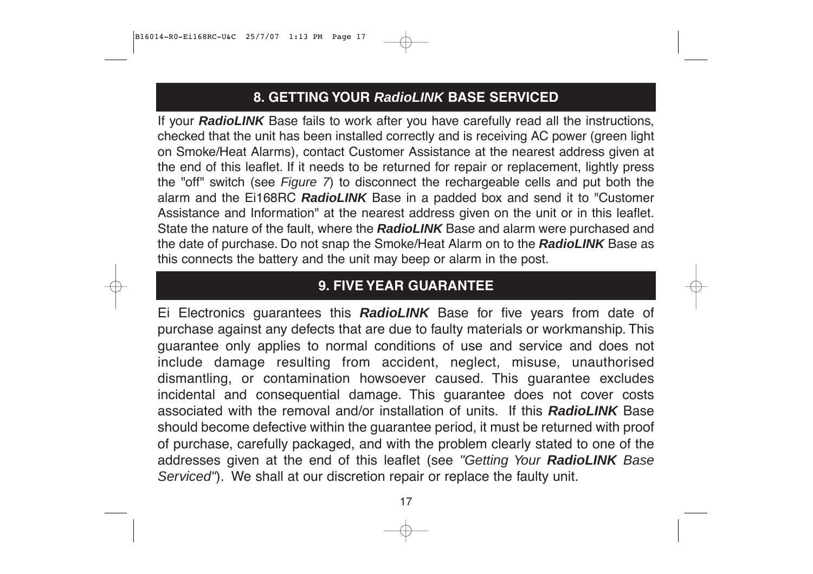## **8. GETTING YOUR** *RadioLINK* **BASE SERVICED**

If your *RadioLINK* Base fails to work after you have carefully read all the instructions, checked that the unit has been installed correctly and is receiving AC power (green light on Smoke/Heat Alarms), contact Customer Assistance at the nearest address given at the end of this leaflet. If it needs to be returned for repair or replacement, lightly press the "off" switch (see *Figure 7*) to disconnect the rechargeable cells and put both the alarm and the Ei168RC *RadioLINK* Base in a padded box and send it to "Customer Assistance and Information" at the nearest address given on the unit or in this leaflet. State the nature of the fault, where the *RadioLINK* Base and alarm were purchased and the date of purchase. Do not snap the Smoke/Heat Alarm on to the *RadioLINK* Base as this connects the battery and the unit may beep or alarm in the post.

## **9. FIVE YEAR GUARANTEE**

Ei Electronics guarantees this *RadioLINK* Base for five years from date of purchase against any defects that are due to faulty materials or workmanship. This guarantee only applies to normal conditions of use and service and does not include damage resulting from accident, neglect, misuse, unauthorised dismantling, or contamination howsoever caused. This guarantee excludes incidental and consequential damage. This guarantee does not cover costs associated with the removal and/or installation of units. If this *RadioLINK* Base should become defective within the guarantee period, it must be returned with proof of purchase, carefully packaged, and with the problem clearly stated to one of the addresses given at the end of this leaflet (see *"Getting Your RadioLINK Base Serviced"*). We shall at our discretion repair or replace the faulty unit.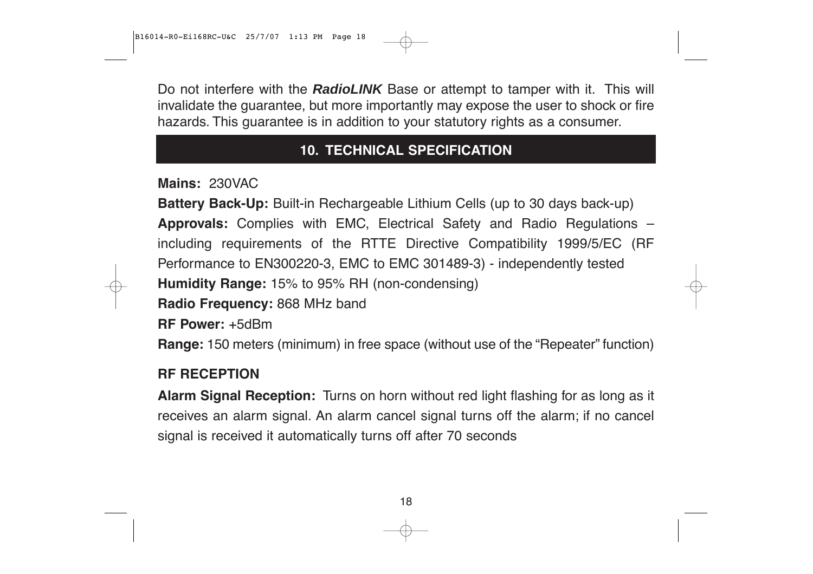Do not interfere with the *RadioLINK* Base or attempt to tamper with it. This will invalidate the guarantee, but more importantly may expose the user to shock or fire hazards. This guarantee is in addition to your statutory rights as a consumer.

# **10. TECHNICAL SPECIFICATION**

**Mains:** 230VAC

**Battery Back-Up:** Built-in Rechargeable Lithium Cells (up to 30 days back-up) **Approvals:** Complies with EMC, Electrical Safety and Radio Regulations – including requirements of the RTTE Directive Compatibility 1999/5/EC (RF Performance to EN300220-3, EMC to EMC 301489-3) - independently tested **Humidity Range:** 15% to 95% RH (non-condensing)

**Radio Frequency:** 868 MHz band

**RF Power:** +5dBm

**Range:** 150 meters (minimum) in free space (without use of the "Repeater" function)

#### **RF RECEPTION**

**Alarm Signal Reception:** Turns on horn without red light flashing for as long as it receives an alarm signal. An alarm cancel signal turns off the alarm; if no cancel signal is received it automatically turns off after 70 seconds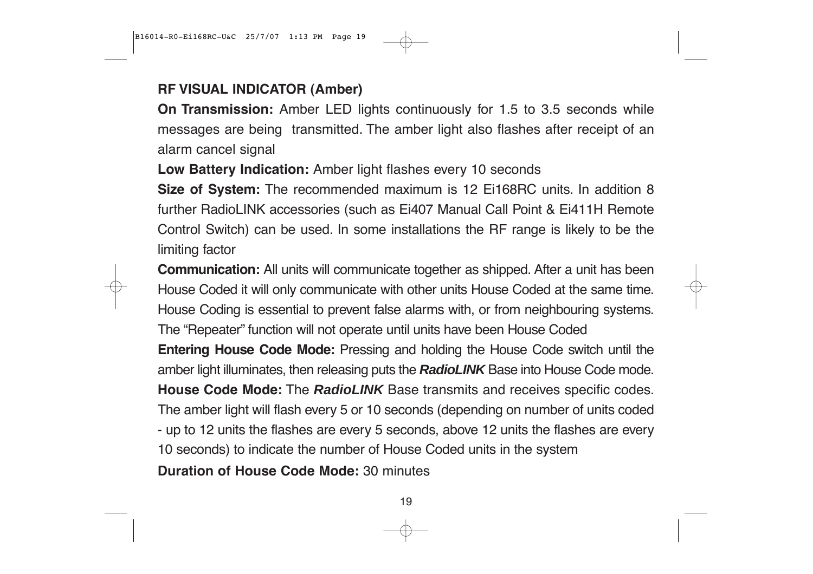#### **RF VISUAL INDICATOR (Amber)**

**On Transmission:** Amber LED lights continuously for 1.5 to 3.5 seconds while messages are being transmitted. The amber light also flashes after receipt of an alarm cancel signal

**Low Battery Indication:** Amber light flashes every 10 seconds

**Size of System:** The recommended maximum is 12 Ei168RC units. In addition 8 further RadioLINK accessories (such as Ei407 Manual Call Point & Ei411H Remote Control Switch) can be used. In some installations the RF range is likely to be the limiting factor

**Communication:** All units will communicate together as shipped. After a unit has been House Coded it will only communicate with other units House Coded at the same time. House Coding is essential to prevent false alarms with, or from neighbouring systems. The "Repeater" function will not operate until units have been House Coded

**Entering House Code Mode:** Pressing and holding the House Code switch until the amber light illuminates, then releasing puts the *RadioLINK* Base into House Code mode. **House Code Mode:** The *RadioLINK* Base transmits and receives specific codes. The amber light will flash every 5 or 10 seconds (depending on number of units coded - up to 12 units the flashes are every 5 seconds, above 12 units the flashes are every 10 seconds) to indicate the number of House Coded units in the system

**Duration of House Code Mode:** 30 minutes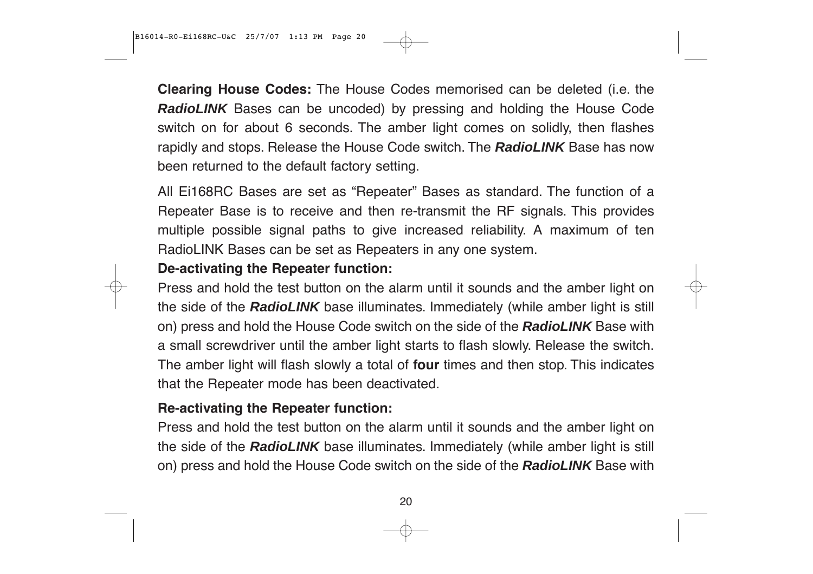**Clearing House Codes:** The House Codes memorised can be deleted (i.e. the *RadioLINK* Bases can be uncoded) by pressing and holding the House Code switch on for about 6 seconds. The amber light comes on solidly, then flashes rapidly and stops. Release the House Code switch. The *RadioLINK* Base has now been returned to the default factory setting.

All Ei168RC Bases are set as "Repeater" Bases as standard. The function of a Repeater Base is to receive and then re-transmit the RF signals. This provides multiple possible signal paths to give increased reliability. A maximum of ten RadioLINK Bases can be set as Repeaters in any one system.

#### **De-activating the Repeater function:**

Press and hold the test button on the alarm until it sounds and the amber light on the side of the *RadioLINK* base illuminates. Immediately (while amber light is still on) press and hold the House Code switch on the side of the *RadioLINK* Base with a small screwdriver until the amber light starts to flash slowly. Release the switch. The amber light will flash slowly a total of **four** times and then stop. This indicates that the Repeater mode has been deactivated.

#### **Re-activating the Repeater function:**

Press and hold the test button on the alarm until it sounds and the amber light on the side of the *RadioLINK* base illuminates. Immediately (while amber light is still on) press and hold the House Code switch on the side of the *RadioLINK* Base with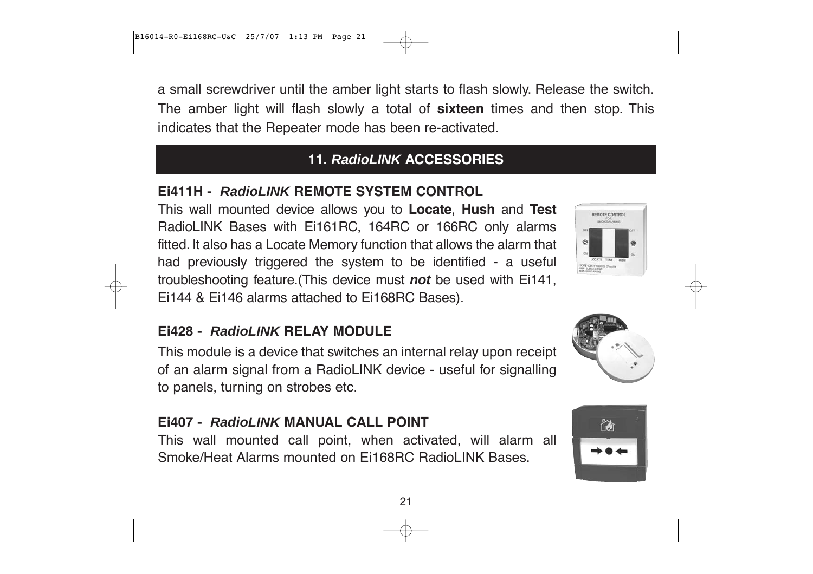a small screwdriver until the amber light starts to flash slowly. Release the switch. The amber light will flash slowly a total of **sixteen** times and then stop. This indicates that the Repeater mode has been re-activated.

## **11.** *RadioLINK* **ACCESSORIES**

#### **Ei411H -** *RadioLINK* **REMOTE SYSTEM CONTROL**

This wall mounted device allows you to **Locate**, **Hush** and **Test** RadioLINK Bases with Ei161RC, 164RC or 166RC only alarms fitted. It also has a Locate Memory function that allows the alarm that had previously triggered the system to be identified - a useful troubleshooting feature.(This device must *not* be used with Ei141, Ei144 & Ei146 alarms attached to Ei168RC Bases).



## **Ei428 -** *RadioLINK* **RELAY MODULE**

This module is a device that switches an internal relay upon receipt of an alarm signal from a RadioLINK device - useful for signalling to panels, turning on strobes etc.

#### **Ei407 -** *RadioLINK* **MANUAL CALL POINT**

This wall mounted call point, when activated, will alarm all Smoke/Heat Alarms mounted on Ei168RC RadioLINK Bases.



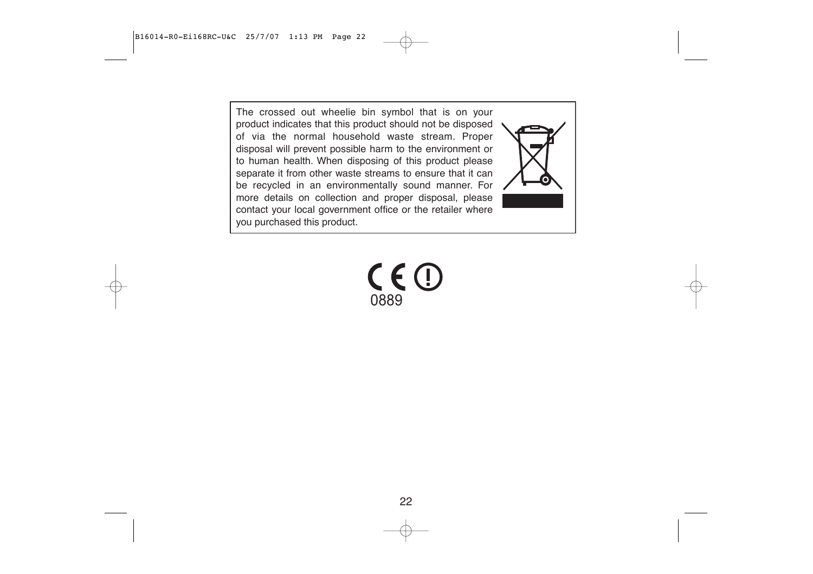The crossed out wheelie bin symbol that is on your product indicates that this product should not be disposed of via the normal household waste stream. Proper disposal will prevent possible harm to the environment or to human health. When disposing of this product please separate it from other waste streams to ensure that it can be recycled in an environmentally sound manner. For more details on collection and proper disposal, please contact your local government office or the retailer where you purchased this product.

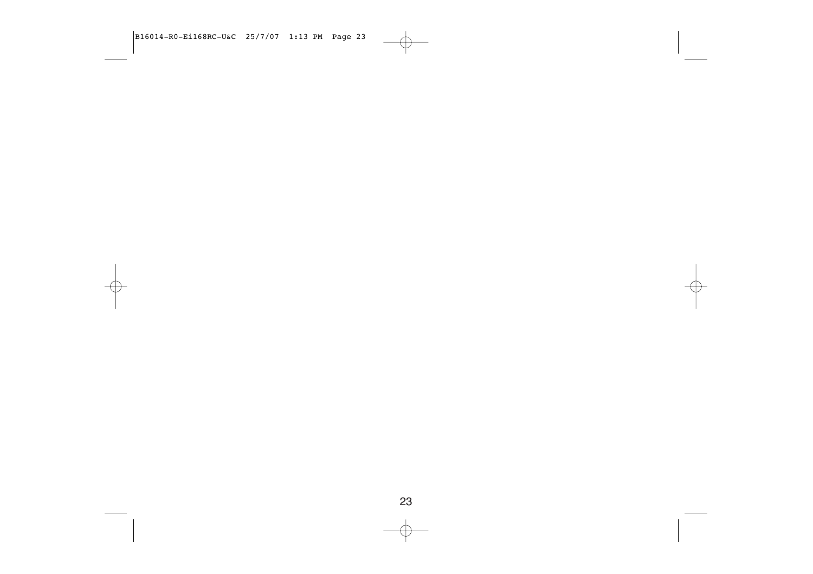B16014-R0-Ei168RC-U&C 25/7/07 1:13 PM Page 23

↔